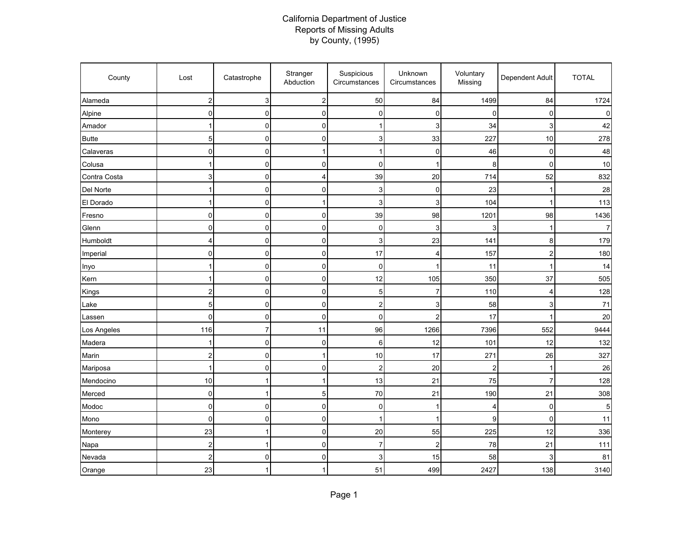## California Department of Justice Reports of Missing Adults by County, (1995)

| County       | Lost                    | Catastrophe    | Stranger<br>Abduction   | Suspicious<br>Circumstances | Unknown<br>Circumstances | Voluntary<br>Missing | Dependent Adult | <b>TOTAL</b> |
|--------------|-------------------------|----------------|-------------------------|-----------------------------|--------------------------|----------------------|-----------------|--------------|
| Alameda      | $\overline{\mathbf{c}}$ | 3              | $\overline{\mathbf{c}}$ | 50                          | 84                       | 1499                 | 84              | 1724         |
| Alpine       | $\pmb{0}$               | $\mathbf 0$    | $\pmb{0}$               | 0                           | 0                        | 0                    | 0               | 0            |
| Amador       | 1                       | $\mathbf 0$    | $\pmb{0}$               | 1                           | 3                        | 34                   | 3               | 42           |
| <b>Butte</b> | 5                       | $\mathbf 0$    | 0                       | 3                           | 33                       | 227                  | 10              | 278          |
| Calaveras    | $\pmb{0}$               | $\mathbf 0$    | 1                       | 1                           | 0                        | 46                   | 0               | 48           |
| Colusa       | 1                       | $\mathbf 0$    | $\pmb{0}$               | $\mathbf 0$                 | 1                        | 8                    | 0               | 10           |
| Contra Costa | $\mathsf 3$             | $\mathbf 0$    | 4                       | 39                          | 20                       | 714                  | 52              | 832          |
| Del Norte    |                         | $\mathbf 0$    | $\overline{0}$          | 3                           | 0                        | 23                   | 1               | 28           |
| El Dorado    | 1                       | $\mathbf 0$    | $\mathbf{1}$            | 3                           | 3                        | 104                  | 1               | 113          |
| Fresno       | $\mathbf 0$             | $\mathbf 0$    | 0                       | 39                          | 98                       | 1201                 | 98              | 1436         |
| Glenn        | 0                       | $\mathbf 0$    | $\overline{0}$          | 0                           | 3                        | 3                    | 1               |              |
| Humboldt     | $\overline{4}$          | $\mathbf 0$    | $\mathbf 0$             | 3                           | 23                       | $141$                | 8               | 179          |
| Imperial     | $\pmb{0}$               | $\pmb{0}$      | $\pmb{0}$               | 17                          | 4                        | 157                  | 2               | 180          |
| Inyo         |                         | $\mathbf 0$    | $\pmb{0}$               | 0                           | 1                        | 11                   | 1               | 14           |
| Kern         |                         | $\mathbf 0$    | $\pmb{0}$               | 12                          | 105                      | 350                  | 37              | 505          |
| Kings        | $\overline{\mathbf{c}}$ | 0              | 0                       | 5                           | 7                        | 110                  | 4               | 128          |
| Lake         | 5                       | 0              | $\pmb{0}$               | $\overline{c}$              | 3                        | 58                   | 3               | $71$         |
| Lassen       | $\mathbf 0$             | $\pmb{0}$      | $\mathbf 0$             | 0                           | $\overline{2}$           | 17                   | 1               | 20           |
| Los Angeles  | 116                     | $\overline{7}$ | 11                      | 96                          | 1266                     | 7396                 | 552             | 9444         |
| Madera       |                         | $\mathbf 0$    | 0                       | 6                           | 12                       | 101                  | 12              | 132          |
| Marin        | $\overline{\mathbf{c}}$ | $\mathbf 0$    | $\mathbf{1}$            | 10                          | 17                       | 271                  | 26              | 327          |
| Mariposa     | 1                       | $\mathbf 0$    | $\pmb{0}$               | $\overline{c}$              | 20                       | $\overline{c}$       | $\overline{1}$  | 26           |
| Mendocino    | 10                      | $\mathbf{1}$   | 1                       | 13                          | 21                       | 75                   | 7               | 128          |
| Merced       | 0                       | 1              | 5                       | 70                          | 21                       | 190                  | 21              | 308          |
| Modoc        | $\mathbf 0$             | $\mathbf 0$    | $\pmb{0}$               | 0                           | 1                        | 4                    | $\mathbf 0$     | 5            |
| Mono         | $\pmb{0}$               | 0              | $\pmb{0}$               | 1                           | 1                        | 9                    | 0               | 11           |
| Monterey     | 23                      | $\mathbf{1}$   | $\overline{0}$          | 20                          | 55                       | 225                  | 12              | 336          |
| Napa         | $\overline{c}$          | $\mathbf{1}$   | $\mathbf 0$             | $\overline{7}$              | $\overline{c}$           | 78                   | 21              | 111          |
| Nevada       | $\overline{\mathbf{c}}$ | $\mathbf 0$    | $\overline{0}$          | 3                           | 15                       | 58                   | 3               | 81           |
| Orange       | 23                      | 1              | 1                       | 51                          | 499                      | 2427                 | 138             | 3140         |